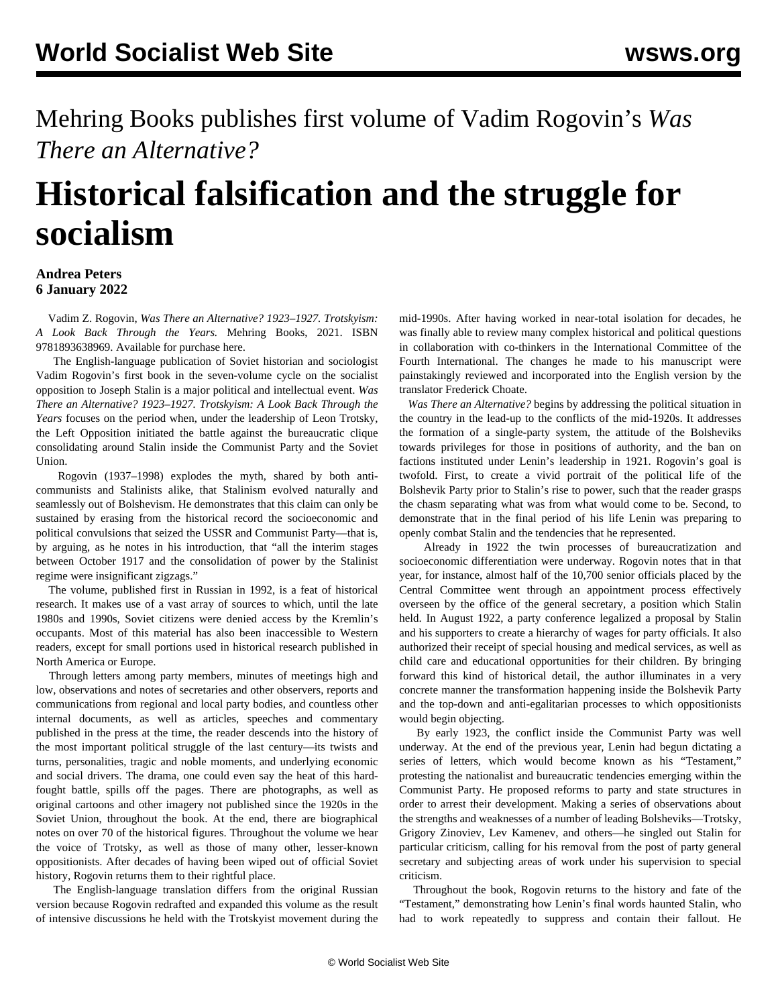Mehring Books publishes first volume of Vadim Rogovin's *Was There an Alternative?*

## **Historical falsification and the struggle for socialism**

## **Andrea Peters 6 January 2022**

 Vadim Z. Rogovin, *Was There an Alternative? 1923–1927. Trotskyism: A Look Back Through the Years.* Mehring Books, 2021. ISBN 9781893638969. Available for purchase [here](https://mehring.com/product/was-there-an-alternative-1923-1927/).

 The English-language publication of Soviet historian and sociologist Vadim Rogovin's first book in the seven-volume cycle on the socialist opposition to Joseph Stalin is a major political and intellectual event. *Was There an Alternative? 1923–1927. Trotskyism: A Look Back Through the Years* focuses on the period when, under the leadership of Leon Trotsky, the Left Opposition initiated the battle against the bureaucratic clique consolidating around Stalin inside the Communist Party and the Soviet Union.

 Rogovin (1937–1998) explodes the myth, shared by both anticommunists and Stalinists alike, that Stalinism evolved naturally and seamlessly out of Bolshevism. He demonstrates that this claim can only be sustained by erasing from the historical record the socioeconomic and political convulsions that seized the USSR and Communist Party—that is, by arguing, as he notes in his introduction, that "all the interim stages between October 1917 and the consolidation of power by the Stalinist regime were insignificant zigzags."

 The volume, published first in Russian in 1992, is a feat of historical research. It makes use of a vast array of sources to which, until the late 1980s and 1990s, Soviet citizens were denied access by the Kremlin's occupants. Most of this material has also been inaccessible to Western readers, except for small portions used in historical research published in North America or Europe.

 Through letters among party members, minutes of meetings high and low, observations and notes of secretaries and other observers, reports and communications from regional and local party bodies, and countless other internal documents, as well as articles, speeches and commentary published in the press at the time, the reader descends into the history of the most important political struggle of the last century—its twists and turns, personalities, tragic and noble moments, and underlying economic and social drivers. The drama, one could even say the heat of this hardfought battle, spills off the pages. There are photographs, as well as original cartoons and other imagery not published since the 1920s in the Soviet Union, throughout the book. At the end, there are biographical notes on over 70 of the historical figures. Throughout the volume we hear the voice of Trotsky, as well as those of many other, lesser-known oppositionists. After decades of having been wiped out of official Soviet history, Rogovin returns them to their rightful place.

 The English-language translation differs from the original Russian version because Rogovin redrafted and expanded this volume as the result of intensive discussions he held with the Trotskyist movement during the mid-1990s. After having worked in near-total isolation for decades, he was finally able to review many complex historical and political questions in collaboration with co-thinkers in the International Committee of the Fourth International. The changes he made to his manuscript were painstakingly reviewed and incorporated into the English version by the translator Frederick Choate.

 *Was There an Alternative?* begins by addressing the political situation in the country in the lead-up to the conflicts of the mid-1920s. It addresses the formation of a single-party system, the attitude of the Bolsheviks towards privileges for those in positions of authority, and the ban on factions instituted under Lenin's leadership in 1921. Rogovin's goal is twofold. First, to create a vivid portrait of the political life of the Bolshevik Party prior to Stalin's rise to power, such that the reader grasps the chasm separating what was from what would come to be. Second, to demonstrate that in the final period of his life Lenin was preparing to openly combat Stalin and the tendencies that he represented.

 Already in 1922 the twin processes of bureaucratization and socioeconomic differentiation were underway. Rogovin notes that in that year, for instance, almost half of the 10,700 senior officials placed by the Central Committee went through an appointment process effectively overseen by the office of the general secretary, a position which Stalin held. In August 1922, a party conference legalized a proposal by Stalin and his supporters to create a hierarchy of wages for party officials. It also authorized their receipt of special housing and medical services, as well as child care and educational opportunities for their children. By bringing forward this kind of historical detail, the author illuminates in a very concrete manner the transformation happening inside the Bolshevik Party and the top-down and anti-egalitarian processes to which oppositionists would begin objecting.

 By early 1923, the conflict inside the Communist Party was well underway. At the end of the previous year, Lenin had begun dictating a series of letters, which would become known as his "Testament," protesting the nationalist and bureaucratic tendencies emerging within the Communist Party. He proposed reforms to party and state structures in order to arrest their development. Making a series of observations about the strengths and weaknesses of a number of leading Bolsheviks—Trotsky, Grigory Zinoviev, Lev Kamenev, and others—he singled out Stalin for particular criticism, calling for his removal from the post of party general secretary and subjecting areas of work under his supervision to special criticism.

 Throughout the book, Rogovin returns to the history and fate of the "Testament," demonstrating how Lenin's final words haunted Stalin, who had to work repeatedly to suppress and contain their fallout. He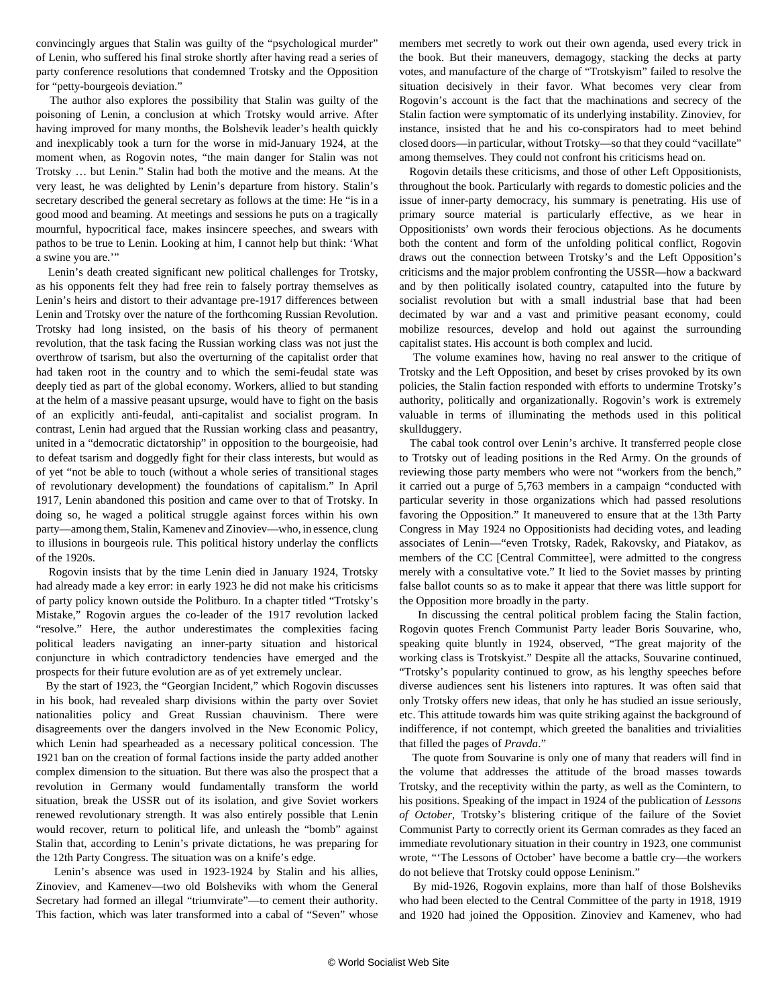convincingly argues that Stalin was guilty of the "psychological murder" of Lenin, who suffered his final stroke shortly after having read a series of party conference resolutions that condemned Trotsky and the Opposition for "petty-bourgeois deviation."

 The author also explores the possibility that Stalin was guilty of the poisoning of Lenin, a conclusion at which Trotsky would arrive. After having improved for many months, the Bolshevik leader's health quickly and inexplicably took a turn for the worse in mid-January 1924, at the moment when, as Rogovin notes, "the main danger for Stalin was not Trotsky … but Lenin." Stalin had both the motive and the means. At the very least, he was delighted by Lenin's departure from history. Stalin's secretary described the general secretary as follows at the time: He "is in a good mood and beaming. At meetings and sessions he puts on a tragically mournful, hypocritical face, makes insincere speeches, and swears with pathos to be true to Lenin. Looking at him, I cannot help but think: 'What a swine you are.'"

 Lenin's death created significant new political challenges for Trotsky, as his opponents felt they had free rein to falsely portray themselves as Lenin's heirs and distort to their advantage pre-1917 differences between Lenin and Trotsky over the nature of the forthcoming Russian Revolution. Trotsky had long insisted, on the basis of his theory of permanent revolution, that the task facing the Russian working class was not just the overthrow of tsarism, but also the overturning of the capitalist order that had taken root in the country and to which the semi-feudal state was deeply tied as part of the global economy. Workers, allied to but standing at the helm of a massive peasant upsurge, would have to fight on the basis of an explicitly anti-feudal, anti-capitalist and socialist program. In contrast, Lenin had argued that the Russian working class and peasantry, united in a "democratic dictatorship" in opposition to the bourgeoisie, had to defeat tsarism and doggedly fight for their class interests, but would as of yet "not be able to touch (without a whole series of transitional stages of revolutionary development) the foundations of capitalism." In April 1917, Lenin abandoned this position and came over to that of Trotsky. In doing so, he waged a political struggle against forces within his own party—among them, Stalin, Kamenev and Zinoviev—who, in essence, clung to illusions in bourgeois rule. This political history underlay the conflicts of the 1920s.

 Rogovin insists that by the time Lenin died in January 1924, Trotsky had already made a key error: in early 1923 he did not make his criticisms of party policy known outside the Politburo. In a chapter titled "Trotsky's Mistake," Rogovin argues the co-leader of the 1917 revolution lacked "resolve." Here, the author underestimates the complexities facing political leaders navigating an inner-party situation and historical conjuncture in which contradictory tendencies have emerged and the prospects for their future evolution are as of yet extremely unclear.

 By the start of 1923, the "Georgian Incident," which Rogovin discusses in his book, had revealed sharp divisions within the party over Soviet nationalities policy and Great Russian chauvinism. There were disagreements over the dangers involved in the New Economic Policy, which Lenin had spearheaded as a necessary political concession. The 1921 ban on the creation of formal factions inside the party added another complex dimension to the situation. But there was also the prospect that a revolution in Germany would fundamentally transform the world situation, break the USSR out of its isolation, and give Soviet workers renewed revolutionary strength. It was also entirely possible that Lenin would recover, return to political life, and unleash the "bomb" against Stalin that, according to Lenin's private dictations, he was preparing for the 12th Party Congress. The situation was on a knife's edge.

 Lenin's absence was used in 1923-1924 by Stalin and his allies, Zinoviev, and Kamenev—two old Bolsheviks with whom the General Secretary had formed an illegal "triumvirate"—to cement their authority. This faction, which was later transformed into a cabal of "Seven" whose members met secretly to work out their own agenda, used every trick in the book. But their maneuvers, demagogy, stacking the decks at party votes, and manufacture of the charge of "Trotskyism" failed to resolve the situation decisively in their favor. What becomes very clear from Rogovin's account is the fact that the machinations and secrecy of the Stalin faction were symptomatic of its underlying instability. Zinoviev, for instance, insisted that he and his co-conspirators had to meet behind closed doors—in particular, without Trotsky—so that they could "vacillate" among themselves. They could not confront his criticisms head on.

 Rogovin details these criticisms, and those of other Left Oppositionists, throughout the book. Particularly with regards to domestic policies and the issue of inner-party democracy, his summary is penetrating. His use of primary source material is particularly effective, as we hear in Oppositionists' own words their ferocious objections. As he documents both the content and form of the unfolding political conflict, Rogovin draws out the connection between Trotsky's and the Left Opposition's criticisms and the major problem confronting the USSR—how a backward and by then politically isolated country, catapulted into the future by socialist revolution but with a small industrial base that had been decimated by war and a vast and primitive peasant economy, could mobilize resources, develop and hold out against the surrounding capitalist states. His account is both complex and lucid.

 The volume examines how, having no real answer to the critique of Trotsky and the Left Opposition, and beset by crises provoked by its own policies, the Stalin faction responded with efforts to undermine Trotsky's authority, politically and organizationally. Rogovin's work is extremely valuable in terms of illuminating the methods used in this political skullduggery.

 The cabal took control over Lenin's archive. It transferred people close to Trotsky out of leading positions in the Red Army. On the grounds of reviewing those party members who were not "workers from the bench," it carried out a purge of 5,763 members in a campaign "conducted with particular severity in those organizations which had passed resolutions favoring the Opposition." It maneuvered to ensure that at the 13th Party Congress in May 1924 no Oppositionists had deciding votes, and leading associates of Lenin—"even Trotsky, Radek, Rakovsky, and Piatakov, as members of the CC [Central Committee], were admitted to the congress merely with a consultative vote." It lied to the Soviet masses by printing false ballot counts so as to make it appear that there was little support for the Opposition more broadly in the party.

 In discussing the central political problem facing the Stalin faction, Rogovin quotes French Communist Party leader Boris Souvarine, who, speaking quite bluntly in 1924, observed, "The great majority of the working class is Trotskyist." Despite all the attacks, Souvarine continued, "Trotsky's popularity continued to grow, as his lengthy speeches before diverse audiences sent his listeners into raptures. It was often said that only Trotsky offers new ideas, that only he has studied an issue seriously, etc. This attitude towards him was quite striking against the background of indifference, if not contempt, which greeted the banalities and trivialities that filled the pages of *Pravda*."

 The quote from Souvarine is only one of many that readers will find in the volume that addresses the attitude of the broad masses towards Trotsky, and the receptivity within the party, as well as the Comintern, to his positions. Speaking of the impact in 1924 of the publication of *Lessons of October*, Trotsky's blistering critique of the failure of the Soviet Communist Party to correctly orient its German comrades as they faced an immediate revolutionary situation in their country in 1923, one communist wrote, "'The Lessons of October' have become a battle cry—the workers do not believe that Trotsky could oppose Leninism."

 By mid-1926, Rogovin explains, more than half of those Bolsheviks who had been elected to the Central Committee of the party in 1918, 1919 and 1920 had joined the Opposition. Zinoviev and Kamenev, who had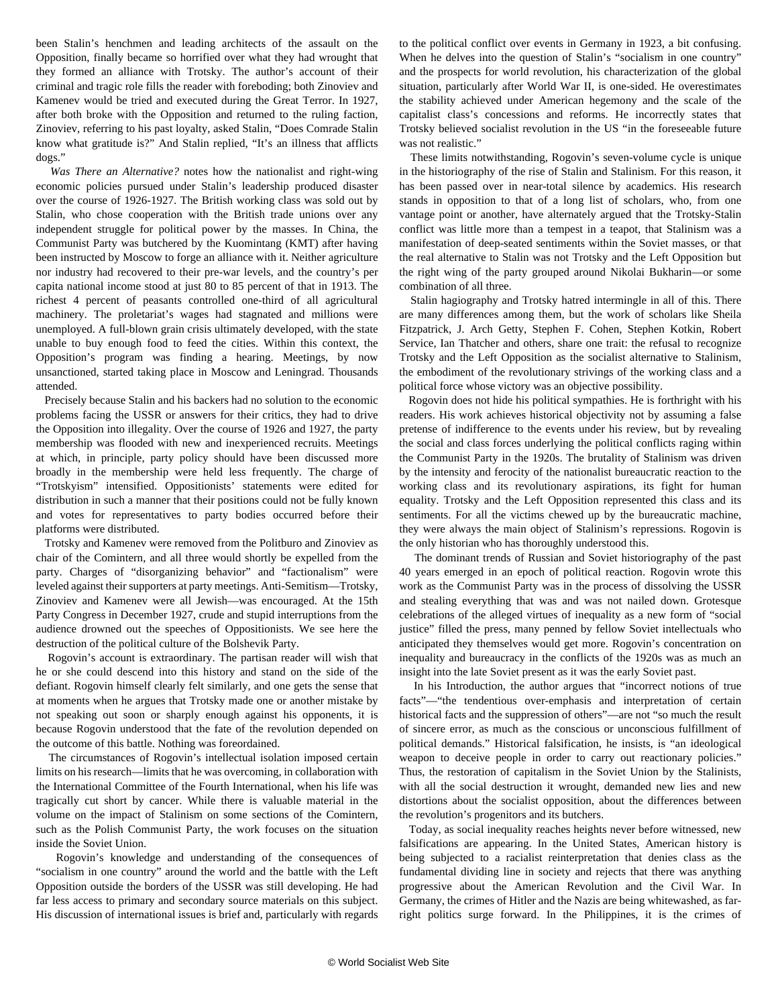been Stalin's henchmen and leading architects of the assault on the Opposition, finally became so horrified over what they had wrought that they formed an alliance with Trotsky. The author's account of their criminal and tragic role fills the reader with foreboding; both Zinoviev and Kamenev would be tried and executed during the Great Terror. In 1927, after both broke with the Opposition and returned to the ruling faction, Zinoviev, referring to his past loyalty, asked Stalin, "Does Comrade Stalin know what gratitude is?" And Stalin replied, "It's an illness that afflicts dogs."

 *Was There an Alternative?* notes how the nationalist and right-wing economic policies pursued under Stalin's leadership produced disaster over the course of 1926-1927. The British working class was sold out by Stalin, who chose cooperation with the British trade unions over any independent struggle for political power by the masses. In China, the Communist Party was butchered by the Kuomintang (KMT) after having been instructed by Moscow to forge an alliance with it. Neither agriculture nor industry had recovered to their pre-war levels, and the country's per capita national income stood at just 80 to 85 percent of that in 1913. The richest 4 percent of peasants controlled one-third of all agricultural machinery. The proletariat's wages had stagnated and millions were unemployed. A full-blown grain crisis ultimately developed, with the state unable to buy enough food to feed the cities. Within this context, the Opposition's program was finding a hearing. Meetings, by now unsanctioned, started taking place in Moscow and Leningrad. Thousands attended.

 Precisely because Stalin and his backers had no solution to the economic problems facing the USSR or answers for their critics, they had to drive the Opposition into illegality. Over the course of 1926 and 1927, the party membership was flooded with new and inexperienced recruits. Meetings at which, in principle, party policy should have been discussed more broadly in the membership were held less frequently. The charge of "Trotskyism" intensified. Oppositionists' statements were edited for distribution in such a manner that their positions could not be fully known and votes for representatives to party bodies occurred before their platforms were distributed.

 Trotsky and Kamenev were removed from the Politburo and Zinoviev as chair of the Comintern, and all three would shortly be expelled from the party. Charges of "disorganizing behavior" and "factionalism" were leveled against their supporters at party meetings. Anti-Semitism—Trotsky, Zinoviev and Kamenev were all Jewish—was encouraged. At the 15th Party Congress in December 1927, crude and stupid interruptions from the audience drowned out the speeches of Oppositionists. We see here the destruction of the political culture of the Bolshevik Party.

 Rogovin's account is extraordinary. The partisan reader will wish that he or she could descend into this history and stand on the side of the defiant. Rogovin himself clearly felt similarly, and one gets the sense that at moments when he argues that Trotsky made one or another mistake by not speaking out soon or sharply enough against his opponents, it is because Rogovin understood that the fate of the revolution depended on the outcome of this battle. Nothing was foreordained.

 The circumstances of Rogovin's intellectual isolation imposed certain limits on his research—limits that he was overcoming, in collaboration with the International Committee of the Fourth International, when his life was tragically cut short by cancer. While there is valuable material in the volume on the impact of Stalinism on some sections of the Comintern, such as the Polish Communist Party, the work focuses on the situation inside the Soviet Union.

 Rogovin's knowledge and understanding of the consequences of "socialism in one country" around the world and the battle with the Left Opposition outside the borders of the USSR was still developing. He had far less access to primary and secondary source materials on this subject. His discussion of international issues is brief and, particularly with regards

to the political conflict over events in Germany in 1923, a bit confusing. When he delves into the question of Stalin's "socialism in one country" and the prospects for world revolution, his characterization of the global situation, particularly after World War II, is one-sided. He overestimates the stability achieved under American hegemony and the scale of the capitalist class's concessions and reforms. He incorrectly states that Trotsky believed socialist revolution in the US "in the foreseeable future was not realistic."

 These limits notwithstanding, Rogovin's seven-volume cycle is unique in the historiography of the rise of Stalin and Stalinism. For this reason, it has been passed over in near-total silence by academics. His research stands in opposition to that of a long list of scholars, who, from one vantage point or another, have alternately argued that the Trotsky-Stalin conflict was little more than a tempest in a teapot, that Stalinism was a manifestation of deep-seated sentiments within the Soviet masses, or that the real alternative to Stalin was not Trotsky and the Left Opposition but the right wing of the party grouped around Nikolai Bukharin—or some combination of all three.

 Stalin hagiography and Trotsky hatred intermingle in all of this. There are many differences among them, but the work of scholars like Sheila Fitzpatrick, J. Arch Getty, Stephen F. Cohen, Stephen Kotkin, Robert Service, Ian Thatcher and others, share one trait: the refusal to recognize Trotsky and the Left Opposition as the socialist alternative to Stalinism, the embodiment of the revolutionary strivings of the working class and a political force whose victory was an objective possibility.

 Rogovin does not hide his political sympathies. He is forthright with his readers. His work achieves historical objectivity not by assuming a false pretense of indifference to the events under his review, but by revealing the social and class forces underlying the political conflicts raging within the Communist Party in the 1920s. The brutality of Stalinism was driven by the intensity and ferocity of the nationalist bureaucratic reaction to the working class and its revolutionary aspirations, its fight for human equality. Trotsky and the Left Opposition represented this class and its sentiments. For all the victims chewed up by the bureaucratic machine, they were always the main object of Stalinism's repressions. Rogovin is the only historian who has thoroughly understood this.

 The dominant trends of Russian and Soviet historiography of the past 40 years emerged in an epoch of political reaction. Rogovin wrote this work as the Communist Party was in the process of dissolving the USSR and stealing everything that was and was not nailed down. Grotesque celebrations of the alleged virtues of inequality as a new form of "social justice" filled the press, many penned by fellow Soviet intellectuals who anticipated they themselves would get more. Rogovin's concentration on inequality and bureaucracy in the conflicts of the 1920s was as much an insight into the late Soviet present as it was the early Soviet past.

 In his Introduction, the author argues that "incorrect notions of true facts"—"the tendentious over-emphasis and interpretation of certain historical facts and the suppression of others"—are not "so much the result of sincere error, as much as the conscious or unconscious fulfillment of political demands." Historical falsification, he insists, is "an ideological weapon to deceive people in order to carry out reactionary policies." Thus, the restoration of capitalism in the Soviet Union by the Stalinists, with all the social destruction it wrought, demanded new lies and new distortions about the socialist opposition, about the differences between the revolution's progenitors and its butchers.

 Today, as social inequality reaches heights never before witnessed, new falsifications are appearing. In the United States, American history is being subjected to a racialist reinterpretation that denies class as the fundamental dividing line in society and rejects that there was anything progressive about the American Revolution and the Civil War. In Germany, the crimes of Hitler and the Nazis are being whitewashed, as farright politics surge forward. In the Philippines, it is the crimes of